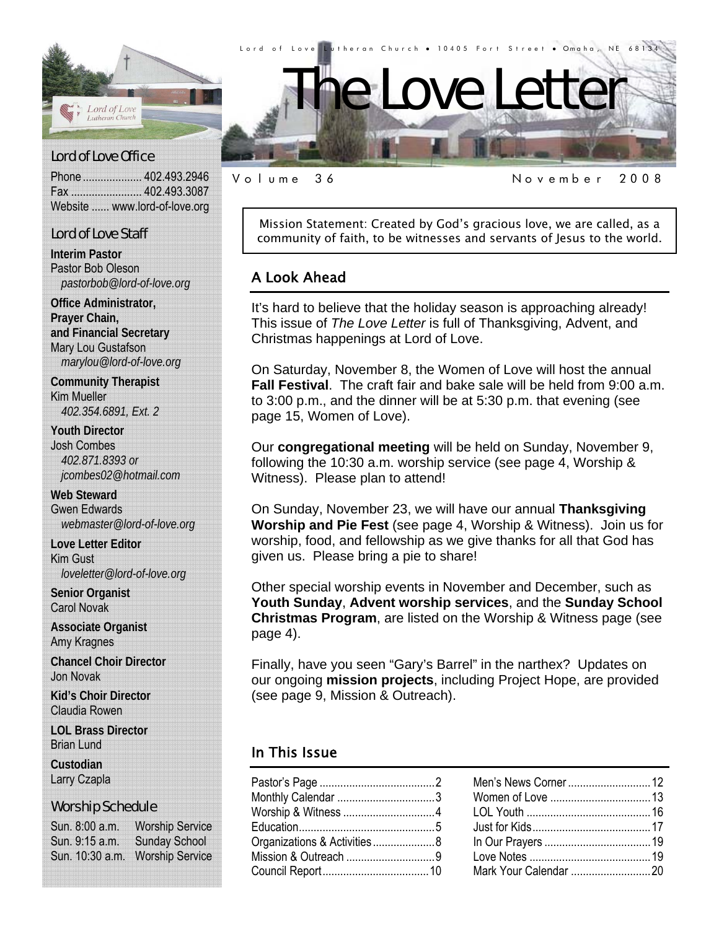

#### Lord of Love Office

Phone .................... 402.493.2946 Fax ........................ 402.493.3087 Website ...... www.lord-of-love.org

#### Lord of Love Staff

**Interim Pastor**  Pastor Bob Oleson *pastorbob@lord-of-love.org* 

**Office Administrator, Prayer Chain, and Financial Secretary**  Mary Lou Gustafson *marylou@lord-of-love.org* 

**Community Therapist**  Kim Mueller *402.354.6891, Ext. 2* 

**Youth Director**  Josh Combes *402.871.8393 or jcombes02@hotmail.com* 

**Web Steward**  Gwen Edwards *webmaster@lord-of-love.org* 

**Love Letter Editor**  Kim Gust *loveletter@lord-of-love.org* 

**Senior Organist**  Carol Novak

**Associate Organist**  Amy Kragnes

**Chancel Choir Director**  Jon Novak

**Kid's Choir Director**  Claudia Rowen

**LOL Brass Director**  Brian Lund

**Custodian**  Larry Czapla

#### Worship Schedule

Sun. 8:00 a.m. Worship Service Sun. 9:15 a.m. Sunday School Sun. 10:30 a.m. Worship Service

Volume 36 November 2008

Mission Statement: Created by God's gracious love, we are called, as a community of faith, to be witnesses and servants of Jesus to the world.

#### A Look Ahead

It's hard to believe that the holiday season is approaching already! This issue of *The Love Letter* is full of Thanksgiving, Advent, and Christmas happenings at Lord of Love.

On Saturday, November 8, the Women of Love will host the annual **Fall Festival**. The craft fair and bake sale will be held from 9:00 a.m. to 3:00 p.m., and the dinner will be at 5:30 p.m. that evening (see page 15, Women of Love).

Our **congregational meeting** will be held on Sunday, November 9, following the 10:30 a.m. worship service (see page 4, Worship & Witness). Please plan to attend!

On Sunday, November 23, we will have our annual **Thanksgiving Worship and Pie Fest** (see page 4, Worship & Witness). Join us for worship, food, and fellowship as we give thanks for all that God has given us. Please bring a pie to share!

Other special worship events in November and December, such as **Youth Sunday**, **Advent worship services**, and the **Sunday School Christmas Program**, are listed on the Worship & Witness page (see page 4).

Finally, have you seen "Gary's Barrel" in the narthex? Updates on our ongoing **mission projects**, including Project Hope, are provided (see page 9, Mission & Outreach).

#### In This Issue

| Monthly Calendar 3          |  |
|-----------------------------|--|
| Worship & Witness 4         |  |
|                             |  |
| Organizations & Activities8 |  |
| Mission & Outreach 9        |  |
|                             |  |
|                             |  |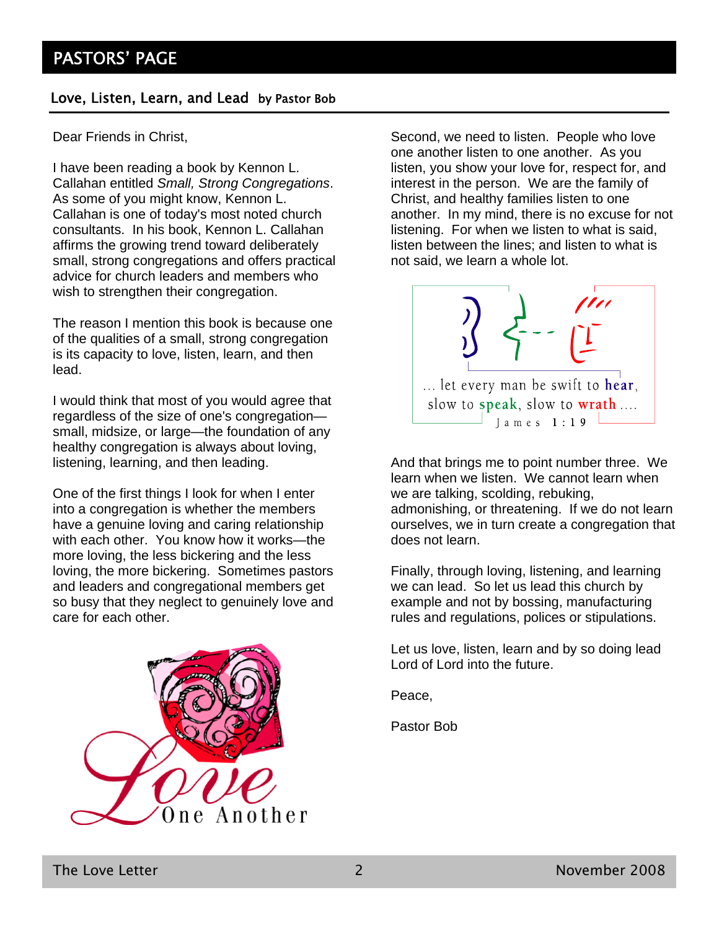#### Love, Listen, Learn, and Lead by Pastor Bob

Dear Friends in Christ,

I have been reading a book by Kennon L. Callahan entitled *Small, Strong Congregations*. As some of you might know, Kennon L. Callahan is one of today's most noted church consultants. In his book, Kennon L. Callahan affirms the growing trend toward deliberately small, strong congregations and offers practical advice for church leaders and members who wish to strengthen their congregation.

The reason I mention this book is because one of the qualities of a small, strong congregation is its capacity to love, listen, learn, and then lead.

I would think that most of you would agree that regardless of the size of one's congregation small, midsize, or large—the foundation of any healthy congregation is always about loving, listening, learning, and then leading.

One of the first things I look for when I enter into a congregation is whether the members have a genuine loving and caring relationship with each other. You know how it works—the more loving, the less bickering and the less loving, the more bickering. Sometimes pastors and leaders and congregational members get so busy that they neglect to genuinely love and care for each other.



Second, we need to listen. People who love one another listen to one another. As you listen, you show your love for, respect for, and interest in the person. We are the family of Christ, and healthy families listen to one another. In my mind, there is no excuse for not listening. For when we listen to what is said, listen between the lines; and listen to what is not said, we learn a whole lot.



And that brings me to point number three. We learn when we listen. We cannot learn when we are talking, scolding, rebuking, admonishing, or threatening. If we do not learn ourselves, we in turn create a congregation that does not learn.

Finally, through loving, listening, and learning we can lead. So let us lead this church by example and not by bossing, manufacturing rules and regulations, polices or stipulations.

Let us love, listen, learn and by so doing lead Lord of Lord into the future.

Peace,

Pastor Bob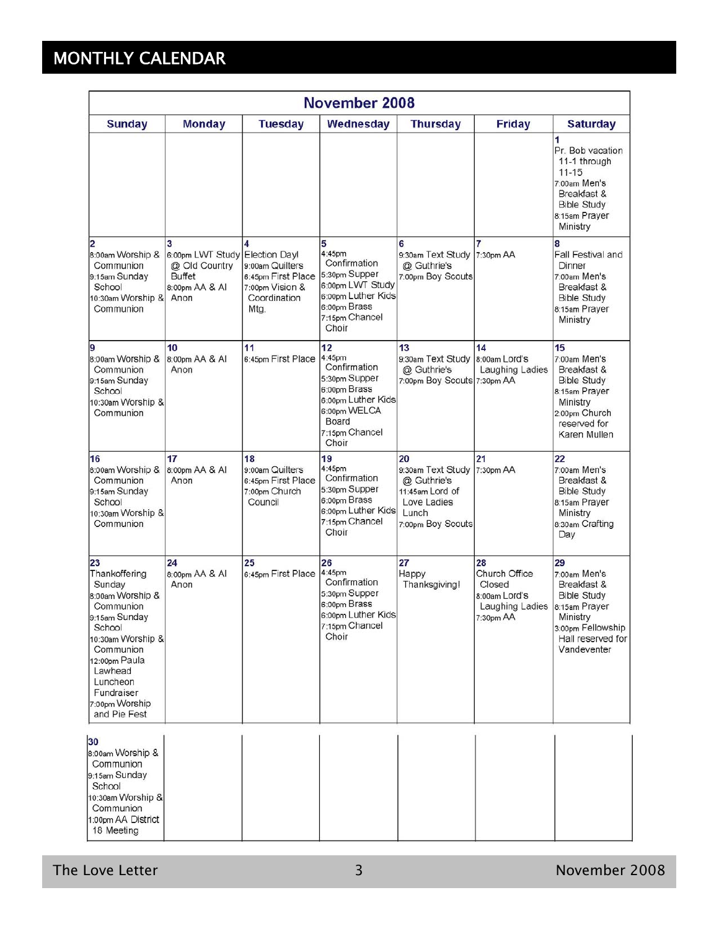# MONTHLY CALENDAR

| November 2008                                                                                                                                                                                                       |                                                                       |                                                                                                          |                                                                                                                                         |                                                                                                        |                                                                                |                                                                                                                                               |
|---------------------------------------------------------------------------------------------------------------------------------------------------------------------------------------------------------------------|-----------------------------------------------------------------------|----------------------------------------------------------------------------------------------------------|-----------------------------------------------------------------------------------------------------------------------------------------|--------------------------------------------------------------------------------------------------------|--------------------------------------------------------------------------------|-----------------------------------------------------------------------------------------------------------------------------------------------|
| <b>Sunday</b>                                                                                                                                                                                                       | <b>Monday</b>                                                         | <b>Tuesday</b>                                                                                           | Wednesday                                                                                                                               | <b>Thursday</b>                                                                                        | <b>Friday</b>                                                                  | <b>Saturday</b>                                                                                                                               |
|                                                                                                                                                                                                                     |                                                                       |                                                                                                          |                                                                                                                                         |                                                                                                        |                                                                                | 1<br>Pr. Bob vacation<br>11-1 through<br>$11 - 15$<br>7:00am Men's<br>Breakfast &<br><b>Bible Study</b><br>8:15am Prayer<br>Ministry          |
| 2<br>8:00am Worship &<br>Communion<br>9:15am Sunday<br>School<br>10:30am Worship &<br>Communion                                                                                                                     | 6:00pm LWT Study<br>@ Old Country<br>Buffet<br>8:00pm AA & AI<br>Anon | <b>Election Day!</b><br>9:00am Quilters<br>6:45pm First Place<br>7:00pm Vision &<br>Coordination<br>Mtg. | 5<br>4:45pm<br>Confirmation<br>5:30pm Supper<br>6:00pm LWT Study<br>6:00pm Luther Kids<br>6:00pm Brass<br>7:15pm Chancel<br>Choir       | 6<br>9:30am Text Study 7:30pm AA<br>@ Guthrie's<br>7:00pm Boy Scouts                                   | 7                                                                              | 8<br>Fall Festival and<br>Dinner<br>7:00am Men's<br>Breakfast &<br><b>Bible Study</b><br>8:15am Prayer<br>Ministry                            |
| g<br>8:00am Worship &<br>Communion<br>9:15am Sunday<br>School<br>10:30am Worship &<br>Communion                                                                                                                     | 10<br>8:00pm AA & AI<br>Anon                                          | 11<br>6:45pm First Place                                                                                 | 12<br>4:45pm<br>Confirmation<br>5:30pm Supper<br>6:00pm Brass<br>6:00pm Luther Kids<br>6:00pm WELCA<br>Board<br>7:15pm Chancel<br>Choir | 13<br>9:30am Text Study<br>@ Guthrie's<br>7:00pm Boy Scouts 7:30pm AA                                  | 14<br>8:00am Lord's<br>Laughing Ladies                                         | 15<br>7:00am Men's<br>Breakfast &<br><b>Bible Study</b><br>8:15am Prayer<br>Ministry<br>2:00pm Church<br>reserved for<br>Karen Mullen         |
| 16<br>8:00am Worship &<br>Communion<br>9:15am Sunday<br>School<br>10:30am Worship &<br>Communion                                                                                                                    | 17<br>8:00pm AA & AI<br>Anon                                          | 18<br>9:00am Quilters<br>6:45pm First Place<br>7:00pm Church<br>Council                                  | 19<br>4:45pm<br>Confirmation<br>5:30pm Supper<br>6:00pm Brass<br>6:00pm Luther Kids<br>7:15pm Chancel<br>Choir                          | 20<br>9:30am Text Study<br>@ Guthrie's<br>11:45am Lord of<br>Love Ladies<br>Lunch<br>7:00pm Boy Scouts | 21<br>7:30pm AA                                                                | 22<br>7:00am Men's<br>Breakfast &<br><b>Bible Study</b><br>8:15am Prayer<br>Ministry<br>8:30am Crafting<br>Day                                |
| 23<br>Thankoffering<br>Sunday<br>8:00am Worship &<br>Communion<br>9:15am Sunday<br>School<br>10:30am Worship &<br>Communion<br>12:00pm Paula<br>Lawhead<br>Luncheon<br>Fundraiser<br>7:00pm Worship<br>and Pie Fest | 24<br>8:00pm AA & AI<br>Anon                                          | 25<br>6:45pm First Place                                                                                 | 26<br>4:45pm<br>Confirmation<br>5:30pm Supper<br>6:00pm Brass<br>6:00pm Luther Kids<br>7:15pm Chancel<br>Choir                          | 27<br>Happy<br>Thanksgiving!                                                                           | 28<br>Church Office<br>Closed<br>8:00am Lord's<br>Laughing Ladies<br>7:30pm AA | 29<br>7:00am Men's<br>Breakfast &<br><b>Bible Study</b><br>8:15am Prayer<br>Ministry<br>3:00pm Fellowship<br>Hall reserved for<br>Vandeventer |
| 30<br>8:00am Worship &<br>Communion<br>9:15am Sunday<br>School<br>10:30am Worship &<br>Communion<br>1:00pm AA District<br>18 Meeting                                                                                |                                                                       |                                                                                                          |                                                                                                                                         |                                                                                                        |                                                                                |                                                                                                                                               |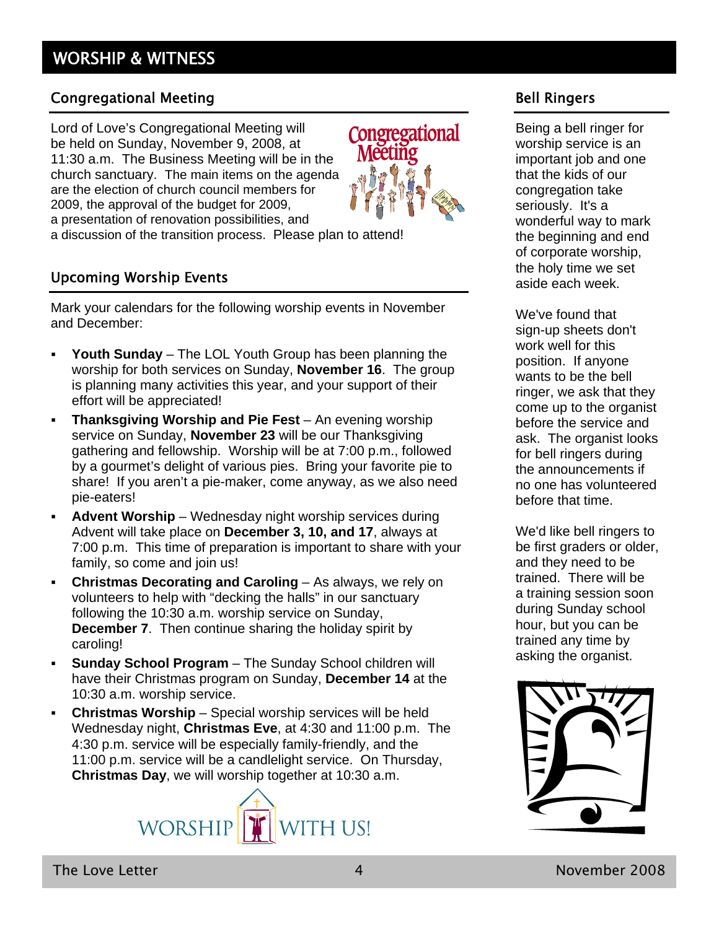#### Congregational Meeting

Lord of Love's Congregational Meeting will be held on Sunday, November 9, 2008, at 11:30 a.m. The Business Meeting will be in the church sanctuary. The main items on the agenda are the election of church council members for 2009, the approval of the budget for 2009, a presentation of renovation possibilities, and a discussion of the transition process. Please plan to attend!

#### Upcoming Worship Events

Mark your calendars for the following worship events in November and December:

- **Youth Sunday** The LOL Youth Group has been planning the worship for both services on Sunday, **November 16**. The group is planning many activities this year, and your support of their effort will be appreciated!
- **Thanksgiving Worship and Pie Fest** An evening worship service on Sunday, **November 23** will be our Thanksgiving gathering and fellowship. Worship will be at 7:00 p.m., followed by a gourmet's delight of various pies. Bring your favorite pie to share! If you aren't a pie-maker, come anyway, as we also need pie-eaters!
- **Advent Worship** Wednesday night worship services during Advent will take place on **December 3, 10, and 17**, always at 7:00 p.m. This time of preparation is important to share with your family, so come and join us!
- **Christmas Decorating and Caroling** As always, we rely on volunteers to help with "decking the halls" in our sanctuary following the 10:30 a.m. worship service on Sunday, **December 7**. Then continue sharing the holiday spirit by caroling!
- **Sunday School Program** The Sunday School children will have their Christmas program on Sunday, **December 14** at the 10:30 a.m. worship service.
- **Christmas Worship** Special worship services will be held Wednesday night, **Christmas Eve**, at 4:30 and 11:00 p.m. The 4:30 p.m. service will be especially family-friendly, and the 11:00 p.m. service will be a candlelight service. On Thursday, **Christmas Day**, we will worship together at 10:30 a.m.





#### Bell Ringers

Being a bell ringer for worship service is an important job and one that the kids of our congregation take seriously. It's a wonderful way to mark the beginning and end of corporate worship, the holy time we set aside each week.

We've found that sign-up sheets don't work well for this position. If anyone wants to be the bell ringer, we ask that they come up to the organist before the service and ask. The organist looks for bell ringers during the announcements if no one has volunteered before that time.

We'd like bell ringers to be first graders or older, and they need to be trained. There will be a training session soon during Sunday school hour, but you can be trained any time by asking the organist.

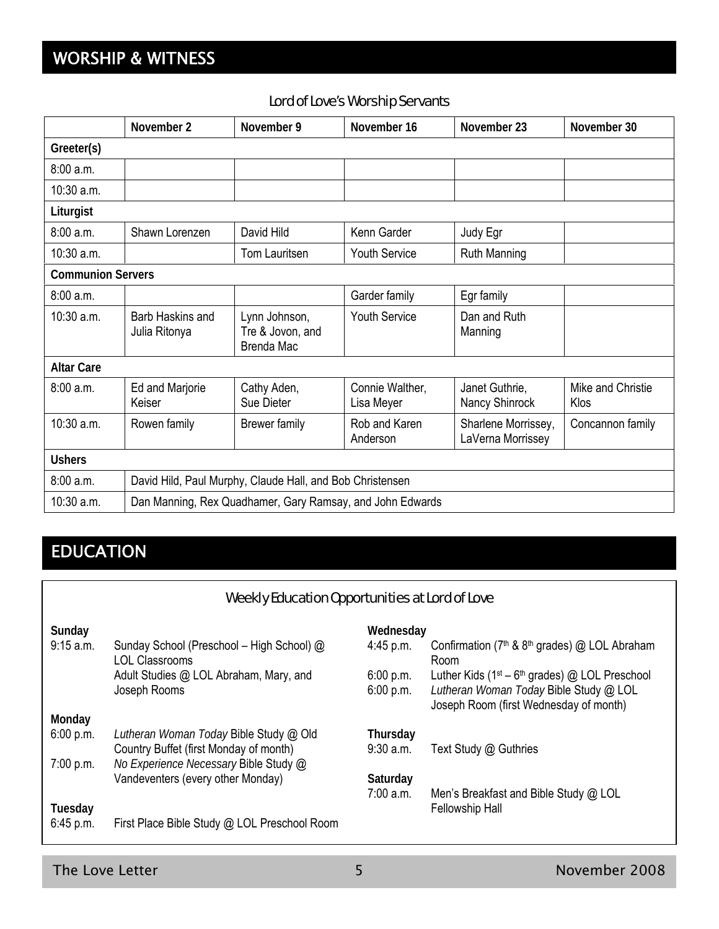# WORSHIP & WITNESS

#### Lord of Love's Worship Servants

|                          | November 2                                                | November 9                                             | November 16                   | November 23                              | November 30               |
|--------------------------|-----------------------------------------------------------|--------------------------------------------------------|-------------------------------|------------------------------------------|---------------------------|
| Greeter(s)               |                                                           |                                                        |                               |                                          |                           |
| 8:00 a.m.                |                                                           |                                                        |                               |                                          |                           |
| 10:30 a.m.               |                                                           |                                                        |                               |                                          |                           |
| Liturgist                |                                                           |                                                        |                               |                                          |                           |
| 8:00 a.m.                | Shawn Lorenzen                                            | David Hild                                             | Kenn Garder                   | Judy Egr                                 |                           |
| 10:30 a.m.               |                                                           | <b>Tom Lauritsen</b>                                   | <b>Youth Service</b>          | <b>Ruth Manning</b>                      |                           |
| <b>Communion Servers</b> |                                                           |                                                        |                               |                                          |                           |
| 8:00 a.m.                |                                                           |                                                        | Garder family                 | Egr family                               |                           |
| 10:30 a.m.               | Barb Haskins and<br>Julia Ritonya                         | Lynn Johnson,<br>Tre & Jovon, and<br><b>Brenda Mac</b> | <b>Youth Service</b>          | Dan and Ruth<br>Manning                  |                           |
| <b>Altar Care</b>        |                                                           |                                                        |                               |                                          |                           |
| 8:00a.m.                 | Ed and Marjorie<br>Keiser                                 | Cathy Aden,<br>Sue Dieter                              | Connie Walther,<br>Lisa Meyer | Janet Guthrie,<br>Nancy Shinrock         | Mike and Christie<br>Klos |
| 10:30 a.m.               | Rowen family                                              | <b>Brewer family</b>                                   | Rob and Karen<br>Anderson     | Sharlene Morrissey,<br>LaVerna Morrissey | Concannon family          |
| <b>Ushers</b>            |                                                           |                                                        |                               |                                          |                           |
| 8:00 a.m.                | David Hild, Paul Murphy, Claude Hall, and Bob Christensen |                                                        |                               |                                          |                           |
| 10:30 a.m.               | Dan Manning, Rex Quadhamer, Gary Ramsay, and John Edwards |                                                        |                               |                                          |                           |

# EDUCATION

### Weekly Education Opportunities at Lord of Love

| Sunday    |                                                                    | Wednesday   |                                                                                  |
|-----------|--------------------------------------------------------------------|-------------|----------------------------------------------------------------------------------|
| 9:15 a.m. | Sunday School (Preschool – High School) @<br><b>LOL Classrooms</b> | $4:45$ p.m. | Confirmation (7 <sup>th</sup> & 8 <sup>th</sup> grades) @ LOL Abraham<br>Room    |
|           | Adult Studies @ LOL Abraham, Mary, and                             | 6:00 p.m.   | Luther Kids (1 <sup>st</sup> – 6 <sup>th</sup> grades) @ LOL Preschool           |
|           | Joseph Rooms                                                       | 6:00 p.m.   | Lutheran Woman Today Bible Study @ LOL<br>Joseph Room (first Wednesday of month) |
| Monday    |                                                                    |             |                                                                                  |
| 6:00 p.m. | Lutheran Woman Today Bible Study @ Old                             | Thursday    |                                                                                  |
|           | Country Buffet (first Monday of month)                             | $9:30$ a.m. | Text Study @ Guthries                                                            |
| 7:00 p.m. | No Experience Necessary Bible Study @                              |             |                                                                                  |
|           | Vandeventers (every other Monday)                                  | Saturday    |                                                                                  |
|           |                                                                    | 7:00 a.m.   | Men's Breakfast and Bible Study @ LOL                                            |
| Tuesday   |                                                                    |             | Fellowship Hall                                                                  |
| 6:45 p.m. | First Place Bible Study @ LOL Preschool Room                       |             |                                                                                  |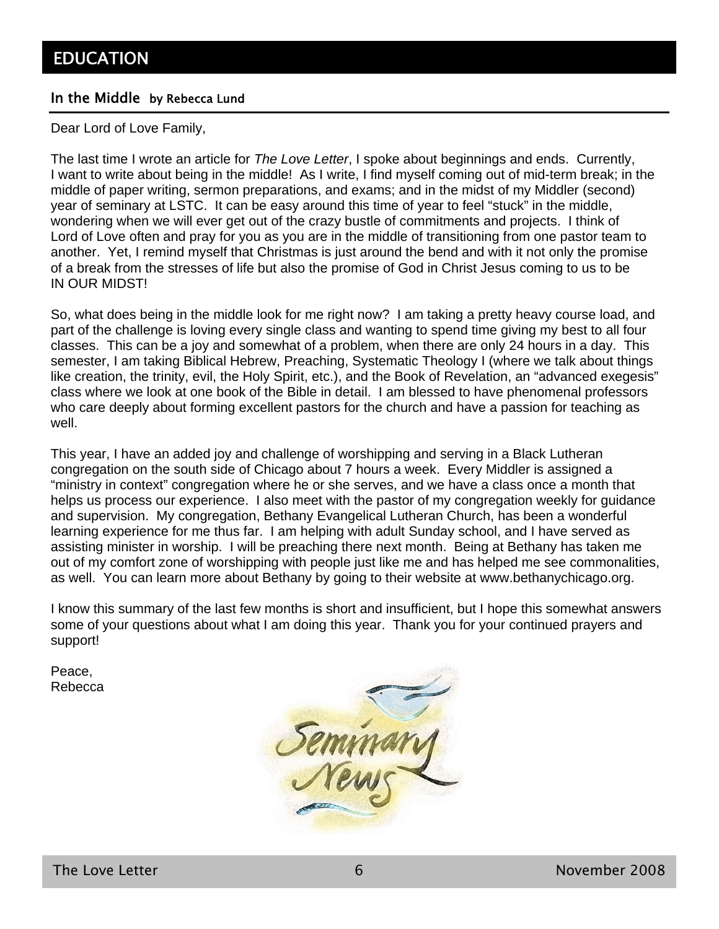#### In the Middle by Rebecca Lund

Dear Lord of Love Family,

The last time I wrote an article for *The Love Letter*, I spoke about beginnings and ends. Currently, I want to write about being in the middle! As I write, I find myself coming out of mid-term break; in the middle of paper writing, sermon preparations, and exams; and in the midst of my Middler (second) year of seminary at LSTC. It can be easy around this time of year to feel "stuck" in the middle, wondering when we will ever get out of the crazy bustle of commitments and projects. I think of Lord of Love often and pray for you as you are in the middle of transitioning from one pastor team to another. Yet, I remind myself that Christmas is just around the bend and with it not only the promise of a break from the stresses of life but also the promise of God in Christ Jesus coming to us to be IN OUR MIDST!

So, what does being in the middle look for me right now? I am taking a pretty heavy course load, and part of the challenge is loving every single class and wanting to spend time giving my best to all four classes. This can be a joy and somewhat of a problem, when there are only 24 hours in a day. This semester, I am taking Biblical Hebrew, Preaching, Systematic Theology I (where we talk about things like creation, the trinity, evil, the Holy Spirit, etc.), and the Book of Revelation, an "advanced exegesis" class where we look at one book of the Bible in detail. I am blessed to have phenomenal professors who care deeply about forming excellent pastors for the church and have a passion for teaching as well.

This year, I have an added joy and challenge of worshipping and serving in a Black Lutheran congregation on the south side of Chicago about 7 hours a week. Every Middler is assigned a "ministry in context" congregation where he or she serves, and we have a class once a month that helps us process our experience. I also meet with the pastor of my congregation weekly for guidance and supervision. My congregation, Bethany Evangelical Lutheran Church, has been a wonderful learning experience for me thus far. I am helping with adult Sunday school, and I have served as assisting minister in worship. I will be preaching there next month. Being at Bethany has taken me out of my comfort zone of worshipping with people just like me and has helped me see commonalities, as well. You can learn more about Bethany by going to their website at www.bethanychicago.org.

I know this summary of the last few months is short and insufficient, but I hope this somewhat answers some of your questions about what I am doing this year. Thank you for your continued prayers and support!

Peace, Rebecca

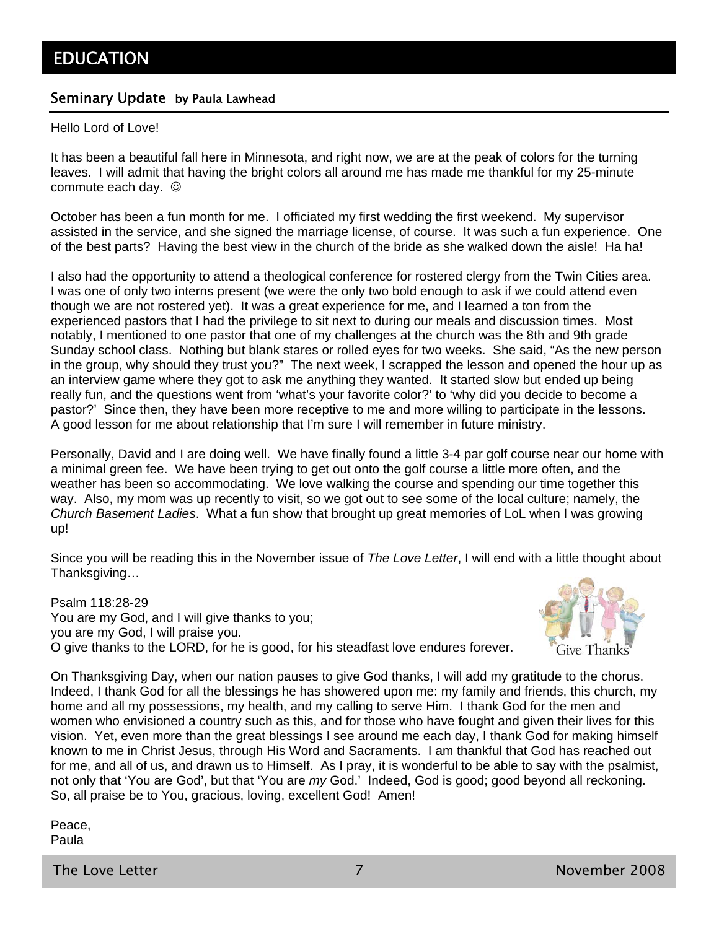#### Seminary Update by Paula Lawhead

Hello Lord of Love!

It has been a beautiful fall here in Minnesota, and right now, we are at the peak of colors for the turning leaves. I will admit that having the bright colors all around me has made me thankful for my 25-minute commute each day.  $\odot$ 

October has been a fun month for me. I officiated my first wedding the first weekend. My supervisor assisted in the service, and she signed the marriage license, of course. It was such a fun experience. One of the best parts? Having the best view in the church of the bride as she walked down the aisle! Ha ha!

I also had the opportunity to attend a theological conference for rostered clergy from the Twin Cities area. I was one of only two interns present (we were the only two bold enough to ask if we could attend even though we are not rostered yet). It was a great experience for me, and I learned a ton from the experienced pastors that I had the privilege to sit next to during our meals and discussion times. Most notably, I mentioned to one pastor that one of my challenges at the church was the 8th and 9th grade Sunday school class. Nothing but blank stares or rolled eyes for two weeks. She said, "As the new person in the group, why should they trust you?" The next week, I scrapped the lesson and opened the hour up as an interview game where they got to ask me anything they wanted. It started slow but ended up being really fun, and the questions went from 'what's your favorite color?' to 'why did you decide to become a pastor?' Since then, they have been more receptive to me and more willing to participate in the lessons. A good lesson for me about relationship that I'm sure I will remember in future ministry.

Personally, David and I are doing well. We have finally found a little 3-4 par golf course near our home with a minimal green fee. We have been trying to get out onto the golf course a little more often, and the weather has been so accommodating. We love walking the course and spending our time together this way. Also, my mom was up recently to visit, so we got out to see some of the local culture; namely, the *Church Basement Ladies*. What a fun show that brought up great memories of LoL when I was growing up!

Since you will be reading this in the November issue of *The Love Letter*, I will end with a little thought about Thanksgiving…

Psalm 118:28-29 You are my God, and I will give thanks to you; you are my God, I will praise you. O give thanks to the LORD, for he is good, for his steadfast love endures forever.



On Thanksgiving Day, when our nation pauses to give God thanks, I will add my gratitude to the chorus. Indeed, I thank God for all the blessings he has showered upon me: my family and friends, this church, my home and all my possessions, my health, and my calling to serve Him. I thank God for the men and women who envisioned a country such as this, and for those who have fought and given their lives for this vision. Yet, even more than the great blessings I see around me each day, I thank God for making himself known to me in Christ Jesus, through His Word and Sacraments. I am thankful that God has reached out for me, and all of us, and drawn us to Himself. As I pray, it is wonderful to be able to say with the psalmist, not only that 'You are God', but that 'You are *my* God.' Indeed, God is good; good beyond all reckoning. So, all praise be to You, gracious, loving, excellent God! Amen!

Peace, Paula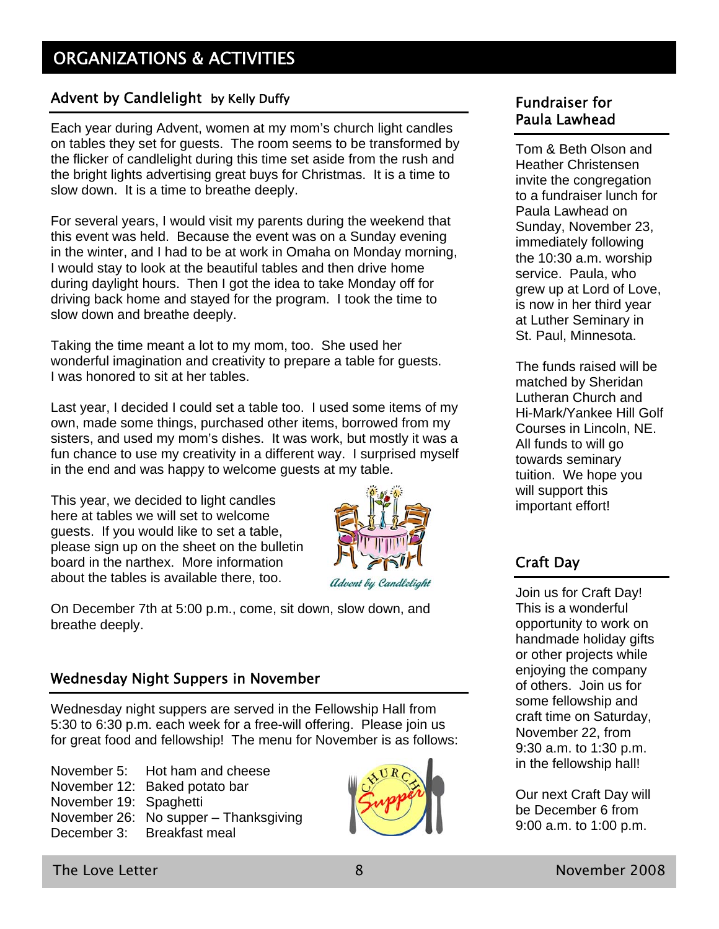#### Advent by Candlelight by Kelly Duffy

Each year during Advent, women at my mom's church light candles on tables they set for guests. The room seems to be transformed by the flicker of candlelight during this time set aside from the rush and the bright lights advertising great buys for Christmas. It is a time to slow down. It is a time to breathe deeply.

For several years, I would visit my parents during the weekend that this event was held. Because the event was on a Sunday evening in the winter, and I had to be at work in Omaha on Monday morning, I would stay to look at the beautiful tables and then drive home during daylight hours. Then I got the idea to take Monday off for driving back home and stayed for the program. I took the time to slow down and breathe deeply.

Taking the time meant a lot to my mom, too. She used her wonderful imagination and creativity to prepare a table for guests. I was honored to sit at her tables.

Last year, I decided I could set a table too. I used some items of my own, made some things, purchased other items, borrowed from my sisters, and used my mom's dishes. It was work, but mostly it was a fun chance to use my creativity in a different way. I surprised myself in the end and was happy to welcome guests at my table.

This year, we decided to light candles here at tables we will set to welcome guests. If you would like to set a table, please sign up on the sheet on the bulletin board in the narthex. More information about the tables is available there, too.



On December 7th at 5:00 p.m., come, sit down, slow down, and breathe deeply.

#### Wednesday Night Suppers in November

Wednesday night suppers are served in the Fellowship Hall from 5:30 to 6:30 p.m. each week for a free-will offering. Please join us for great food and fellowship! The menu for November is as follows:

November 5: Hot ham and cheese November 12: Baked potato bar November 19: Spaghetti November 26: No supper – Thanksgiving December 3: Breakfast meal



#### Fundraiser for Paula Lawhead

Tom & Beth Olson and Heather Christensen invite the congregation to a fundraiser lunch for Paula Lawhead on Sunday, November 23, immediately following the 10:30 a.m. worship service. Paula, who grew up at Lord of Love, is now in her third year at Luther Seminary in St. Paul, Minnesota.

The funds raised will be matched by Sheridan Lutheran Church and Hi-Mark/Yankee Hill Golf Courses in Lincoln, NE. All funds to will go towards seminary tuition. We hope you will support this important effort!

### Craft Day

Join us for Craft Day! This is a wonderful opportunity to work on handmade holiday gifts or other projects while enjoying the company of others. Join us for some fellowship and craft time on Saturday, November 22, from 9:30 a.m. to 1:30 p.m. in the fellowship hall!

Our next Craft Day will be December 6 from 9:00 a.m. to 1:00 p.m.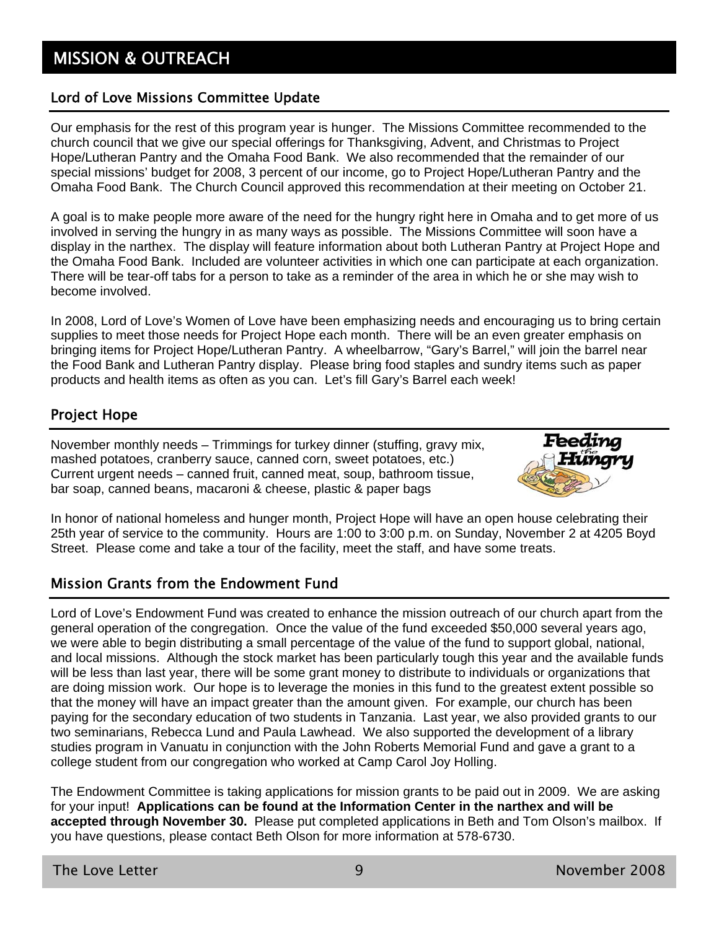# **MISSION & OUTREACH**

#### Lord of Love Missions Committee Update

Our emphasis for the rest of this program year is hunger. The Missions Committee recommended to the church council that we give our special offerings for Thanksgiving, Advent, and Christmas to Project Hope/Lutheran Pantry and the Omaha Food Bank. We also recommended that the remainder of our special missions' budget for 2008, 3 percent of our income, go to Project Hope/Lutheran Pantry and the Omaha Food Bank. The Church Council approved this recommendation at their meeting on October 21.

A goal is to make people more aware of the need for the hungry right here in Omaha and to get more of us involved in serving the hungry in as many ways as possible. The Missions Committee will soon have a display in the narthex. The display will feature information about both Lutheran Pantry at Project Hope and the Omaha Food Bank. Included are volunteer activities in which one can participate at each organization. There will be tear-off tabs for a person to take as a reminder of the area in which he or she may wish to become involved.

In 2008, Lord of Love's Women of Love have been emphasizing needs and encouraging us to bring certain supplies to meet those needs for Project Hope each month. There will be an even greater emphasis on bringing items for Project Hope/Lutheran Pantry. A wheelbarrow, "Gary's Barrel," will join the barrel near the Food Bank and Lutheran Pantry display. Please bring food staples and sundry items such as paper products and health items as often as you can. Let's fill Gary's Barrel each week!

#### Project Hope

November monthly needs – Trimmings for turkey dinner (stuffing, gravy mix, mashed potatoes, cranberry sauce, canned corn, sweet potatoes, etc.) Current urgent needs – canned fruit, canned meat, soup, bathroom tissue, bar soap, canned beans, macaroni & cheese, plastic & paper bags



In honor of national homeless and hunger month, Project Hope will have an open house celebrating their 25th year of service to the community. Hours are 1:00 to 3:00 p.m. on Sunday, November 2 at 4205 Boyd Street. Please come and take a tour of the facility, meet the staff, and have some treats.

#### Mission Grants from the Endowment Fund

Lord of Love's Endowment Fund was created to enhance the mission outreach of our church apart from the general operation of the congregation. Once the value of the fund exceeded \$50,000 several years ago, we were able to begin distributing a small percentage of the value of the fund to support global, national, and local missions. Although the stock market has been particularly tough this year and the available funds will be less than last year, there will be some grant money to distribute to individuals or organizations that are doing mission work. Our hope is to leverage the monies in this fund to the greatest extent possible so that the money will have an impact greater than the amount given. For example, our church has been paying for the secondary education of two students in Tanzania. Last year, we also provided grants to our two seminarians, Rebecca Lund and Paula Lawhead. We also supported the development of a library studies program in Vanuatu in conjunction with the John Roberts Memorial Fund and gave a grant to a college student from our congregation who worked at Camp Carol Joy Holling.

The Endowment Committee is taking applications for mission grants to be paid out in 2009. We are asking for your input! **Applications can be found at the Information Center in the narthex and will be accepted through November 30.** Please put completed applications in Beth and Tom Olson's mailbox. If you have questions, please contact Beth Olson for more information at 578-6730.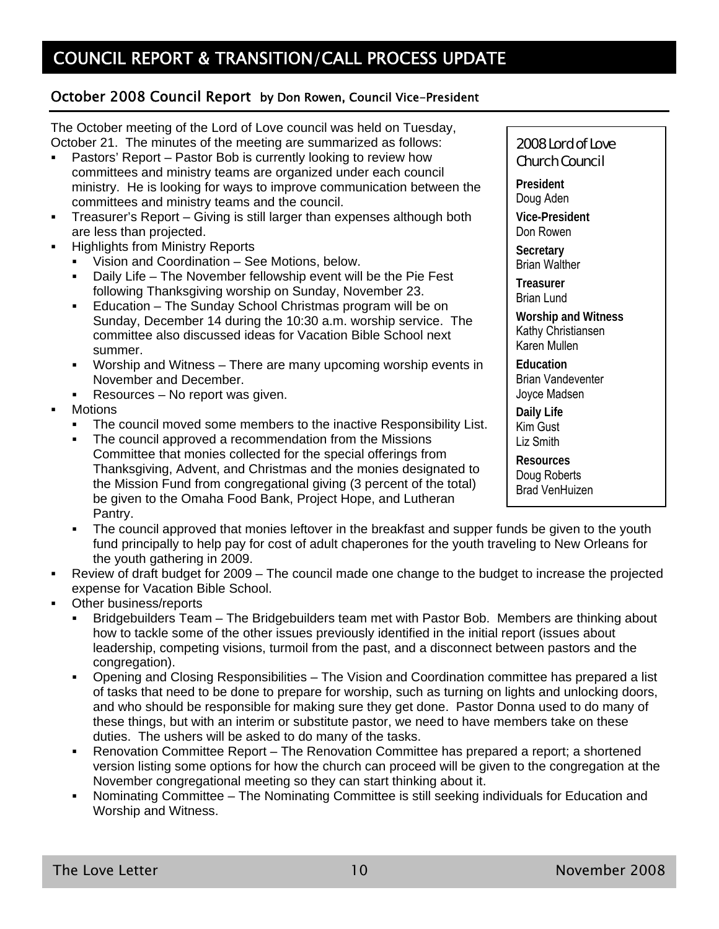#### October 2008 Council Report by Don Rowen, Council Vice-President

The October meeting of the Lord of Love council was held on Tuesday, October 21. The minutes of the meeting are summarized as follows:

- Pastors' Report Pastor Bob is currently looking to review how committees and ministry teams are organized under each council ministry. He is looking for ways to improve communication between the committees and ministry teams and the council.
- Treasurer's Report Giving is still larger than expenses although both are less than projected.
- **-** Highlights from Ministry Reports
	- Vision and Coordination See Motions, below.
	- Daily Life The November fellowship event will be the Pie Fest following Thanksgiving worship on Sunday, November 23.
	- Education The Sunday School Christmas program will be on Sunday, December 14 during the 10:30 a.m. worship service. The committee also discussed ideas for Vacation Bible School next summer.
	- Worship and Witness There are many upcoming worship events in November and December.
	- Resources No report was given.
- **Motions** 
	- The council moved some members to the inactive Responsibility List.
	- The council approved a recommendation from the Missions Committee that monies collected for the special offerings from Thanksgiving, Advent, and Christmas and the monies designated to the Mission Fund from congregational giving (3 percent of the total) be given to the Omaha Food Bank, Project Hope, and Lutheran Pantry.
	- The council approved that monies leftover in the breakfast and supper funds be given to the youth fund principally to help pay for cost of adult chaperones for the youth traveling to New Orleans for the youth gathering in 2009.
- Review of draft budget for 2009 The council made one change to the budget to increase the projected expense for Vacation Bible School.
- Other business/reports
	- Bridgebuilders Team The Bridgebuilders team met with Pastor Bob. Members are thinking about how to tackle some of the other issues previously identified in the initial report (issues about leadership, competing visions, turmoil from the past, and a disconnect between pastors and the congregation).
	- Opening and Closing Responsibilities The Vision and Coordination committee has prepared a list of tasks that need to be done to prepare for worship, such as turning on lights and unlocking doors, and who should be responsible for making sure they get done. Pastor Donna used to do many of these things, but with an interim or substitute pastor, we need to have members take on these duties. The ushers will be asked to do many of the tasks.
	- Renovation Committee Report The Renovation Committee has prepared a report; a shortened version listing some options for how the church can proceed will be given to the congregation at the November congregational meeting so they can start thinking about it.
	- Nominating Committee The Nominating Committee is still seeking individuals for Education and Worship and Witness.

#### 2008 Lord of Love Church Council

**President**  Doug Aden **Vice-President**  Don Rowen **Secretary**  Brian Walther **Treasurer**  Brian Lund **Worship and Witness**  Kathy Christiansen Karen Mullen **Education**  Brian Vandeventer Joyce Madsen **Daily Life**  Kim Gust Liz Smith

**Resources** 

Doug Roberts Brad VenHuizen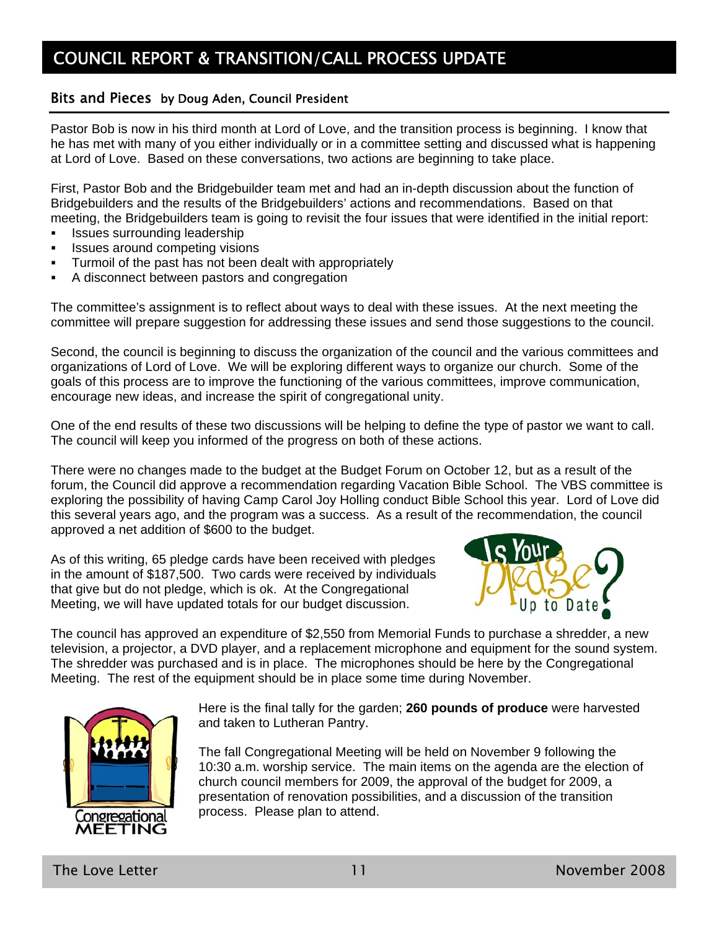#### Bits and Pieces by Doug Aden, Council President

Pastor Bob is now in his third month at Lord of Love, and the transition process is beginning. I know that he has met with many of you either individually or in a committee setting and discussed what is happening at Lord of Love. Based on these conversations, two actions are beginning to take place.

First, Pastor Bob and the Bridgebuilder team met and had an in-depth discussion about the function of Bridgebuilders and the results of the Bridgebuilders' actions and recommendations. Based on that meeting, the Bridgebuilders team is going to revisit the four issues that were identified in the initial report:

- **ISSUES Surrounding leadership**
- **ISSUES around competing visions**
- Turmoil of the past has not been dealt with appropriately
- A disconnect between pastors and congregation

The committee's assignment is to reflect about ways to deal with these issues. At the next meeting the committee will prepare suggestion for addressing these issues and send those suggestions to the council.

Second, the council is beginning to discuss the organization of the council and the various committees and organizations of Lord of Love. We will be exploring different ways to organize our church. Some of the goals of this process are to improve the functioning of the various committees, improve communication, encourage new ideas, and increase the spirit of congregational unity.

One of the end results of these two discussions will be helping to define the type of pastor we want to call. The council will keep you informed of the progress on both of these actions.

There were no changes made to the budget at the Budget Forum on October 12, but as a result of the forum, the Council did approve a recommendation regarding Vacation Bible School. The VBS committee is exploring the possibility of having Camp Carol Joy Holling conduct Bible School this year. Lord of Love did this several years ago, and the program was a success. As a result of the recommendation, the council approved a net addition of \$600 to the budget.

As of this writing, 65 pledge cards have been received with pledges in the amount of \$187,500. Two cards were received by individuals that give but do not pledge, which is ok. At the Congregational Meeting, we will have updated totals for our budget discussion.



The council has approved an expenditure of \$2,550 from Memorial Funds to purchase a shredder, a new television, a projector, a DVD player, and a replacement microphone and equipment for the sound system. The shredder was purchased and is in place. The microphones should be here by the Congregational Meeting. The rest of the equipment should be in place some time during November.



Here is the final tally for the garden; **260 pounds of produce** were harvested and taken to Lutheran Pantry.

The fall Congregational Meeting will be held on November 9 following the 10:30 a.m. worship service. The main items on the agenda are the election of church council members for 2009, the approval of the budget for 2009, a presentation of renovation possibilities, and a discussion of the transition process. Please plan to attend.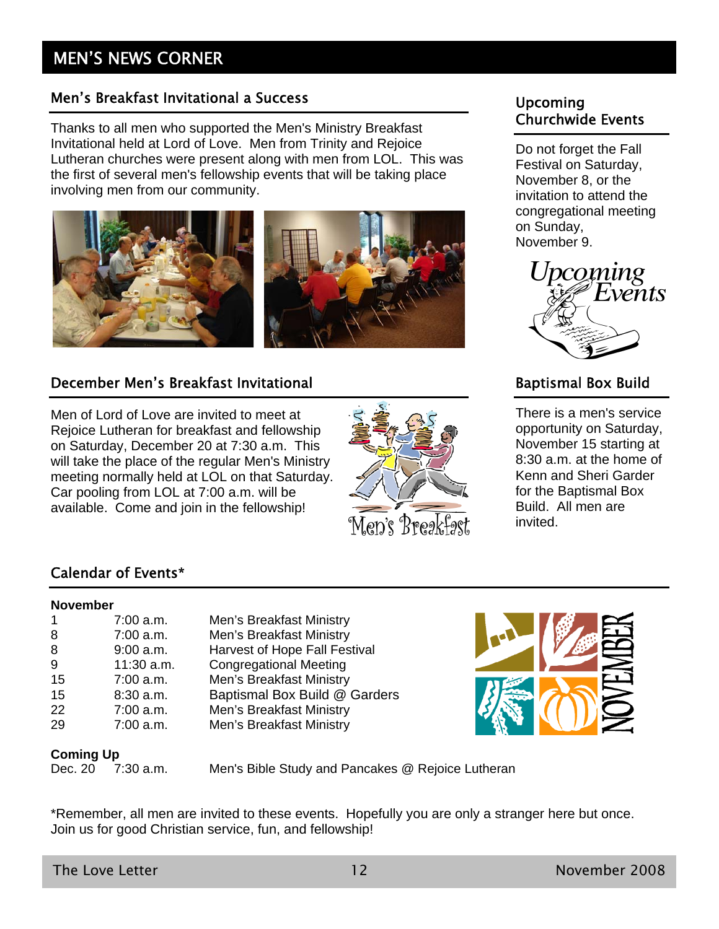## MEN'S NEWS CORNER

#### Men's Breakfast Invitational a Success

Thanks to all men who supported the Men's Ministry Breakfast Invitational held at Lord of Love. Men from Trinity and Rejoice Lutheran churches were present along with men from LOL. This was the first of several men's fellowship events that will be taking place involving men from our community.



#### December Men's Breakfast Invitational

Men of Lord of Love are invited to meet at Rejoice Lutheran for breakfast and fellowship on Saturday, December 20 at 7:30 a.m. This will take the place of the regular Men's Ministry meeting normally held at LOL on that Saturday. Car pooling from LOL at 7:00 a.m. will be available. Come and join in the fellowship!



#### Upcoming Churchwide Events

Do not forget the Fall Festival on Saturday, November 8, or the invitation to attend the congregational meeting on Sunday, November 9.



### Baptismal Box Build

There is a men's service opportunity on Saturday, November 15 starting at 8:30 a.m. at the home of Kenn and Sheri Garder for the Baptismal Box Build. All men are invited.

#### Calendar of Events\*

#### **November**

|    | $7:00$ a.m. |
|----|-------------|
| 8  | 7:00 a.m.   |
| 8  | $9:00$ a.m. |
| 9  | 11:30 a.m.  |
| 15 | 7:00 a.m.   |
| 15 | 8:30 a.m.   |
| 22 | $7:00$ a.m. |
| 29 | 7:00 a.m.   |
|    |             |

Men's Breakfast Ministry Men's Breakfast Ministry Harvest of Hope Fall Festival **Congregational Meeting** Men's Breakfast Ministry Baptismal Box Build @ Garders Men's Breakfast Ministry Men's Breakfast Ministry



# **Coming Up**<br>Dec. 20 7

7:30 a.m. Men's Bible Study and Pancakes @ Rejoice Lutheran

\*Remember, all men are invited to these events. Hopefully you are only a stranger here but once. Join us for good Christian service, fun, and fellowship!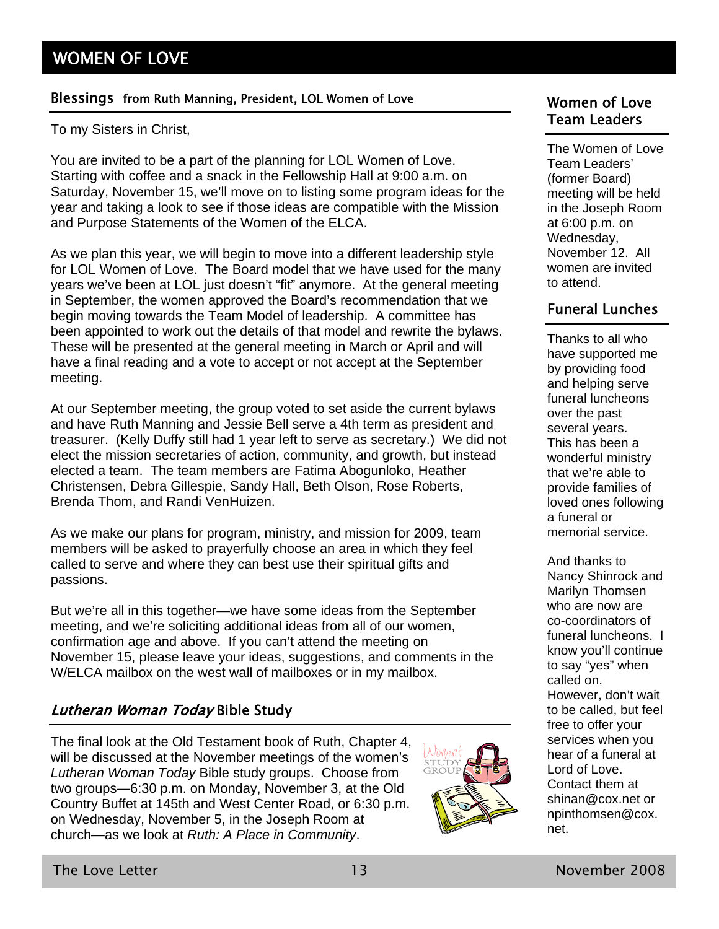#### Blessings from Ruth Manning, President, LOL Women of Love Women of Love

To my Sisters in Christ,

You are invited to be a part of the planning for LOL Women of Love. Starting with coffee and a snack in the Fellowship Hall at 9:00 a.m. on Saturday, November 15, we'll move on to listing some program ideas for the year and taking a look to see if those ideas are compatible with the Mission and Purpose Statements of the Women of the ELCA.

As we plan this year, we will begin to move into a different leadership style for LOL Women of Love. The Board model that we have used for the many years we've been at LOL just doesn't "fit" anymore. At the general meeting in September, the women approved the Board's recommendation that we begin moving towards the Team Model of leadership. A committee has been appointed to work out the details of that model and rewrite the bylaws. These will be presented at the general meeting in March or April and will have a final reading and a vote to accept or not accept at the September meeting.

At our September meeting, the group voted to set aside the current bylaws and have Ruth Manning and Jessie Bell serve a 4th term as president and treasurer. (Kelly Duffy still had 1 year left to serve as secretary.) We did not elect the mission secretaries of action, community, and growth, but instead elected a team. The team members are Fatima Abogunloko, Heather Christensen, Debra Gillespie, Sandy Hall, Beth Olson, Rose Roberts, Brenda Thom, and Randi VenHuizen.

As we make our plans for program, ministry, and mission for 2009, team members will be asked to prayerfully choose an area in which they feel called to serve and where they can best use their spiritual gifts and passions.

But we're all in this together—we have some ideas from the September meeting, and we're soliciting additional ideas from all of our women, confirmation age and above. If you can't attend the meeting on November 15, please leave your ideas, suggestions, and comments in the W/ELCA mailbox on the west wall of mailboxes or in my mailbox.

#### Lutheran Woman Today Bible Study

The final look at the Old Testament book of Ruth, Chapter 4, will be discussed at the November meetings of the women's *Lutheran Woman Today* Bible study groups. Choose from two groups—6:30 p.m. on Monday, November 3, at the Old Country Buffet at 145th and West Center Road, or 6:30 p.m. on Wednesday, November 5, in the Joseph Room at church—as we look at *Ruth: A Place in Community*.



# Team Leaders

The Women of Love Team Leaders' (former Board) meeting will be held in the Joseph Room at 6:00 p.m. on Wednesday, November 12. All women are invited to attend.

#### Funeral Lunches

Thanks to all who have supported me by providing food and helping serve funeral luncheons over the past several years. This has been a wonderful ministry that we're able to provide families of loved ones following a funeral or memorial service.

And thanks to Nancy Shinrock and Marilyn Thomsen who are now are co-coordinators of funeral luncheons. I know you'll continue to say "yes" when called on. However, don't wait to be called, but feel free to offer your services when you hear of a funeral at Lord of Love. Contact them at shinan@cox.net or npinthomsen@cox. net.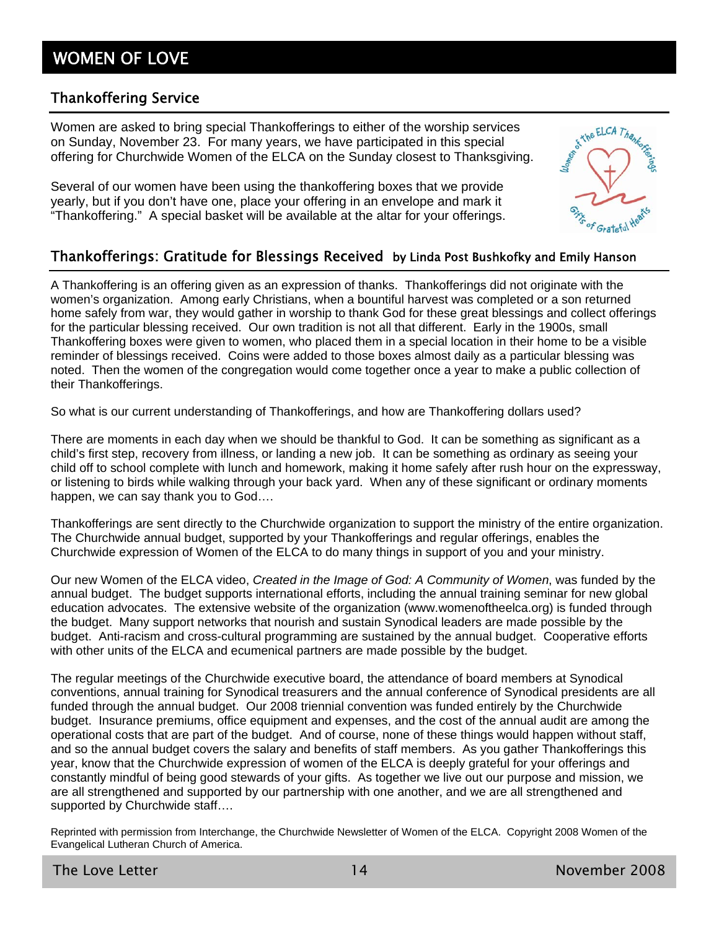## WOMEN OF LOVE

#### Thankoffering Service

Women are asked to bring special Thankofferings to either of the worship services on Sunday, November 23. For many years, we have participated in this special offering for Churchwide Women of the ELCA on the Sunday closest to Thanksgiving.

Several of our women have been using the thankoffering boxes that we provide yearly, but if you don't have one, place your offering in an envelope and mark it "Thankoffering." A special basket will be available at the altar for your offerings.



#### Thankofferings: Gratitude for Blessings Received by Linda Post Bushkofky and Emily Hanson

A Thankoffering is an offering given as an expression of thanks. Thankofferings did not originate with the women's organization. Among early Christians, when a bountiful harvest was completed or a son returned home safely from war, they would gather in worship to thank God for these great blessings and collect offerings for the particular blessing received. Our own tradition is not all that different. Early in the 1900s, small Thankoffering boxes were given to women, who placed them in a special location in their home to be a visible reminder of blessings received. Coins were added to those boxes almost daily as a particular blessing was noted. Then the women of the congregation would come together once a year to make a public collection of their Thankofferings.

So what is our current understanding of Thankofferings, and how are Thankoffering dollars used?

There are moments in each day when we should be thankful to God. It can be something as significant as a child's first step, recovery from illness, or landing a new job. It can be something as ordinary as seeing your child off to school complete with lunch and homework, making it home safely after rush hour on the expressway, or listening to birds while walking through your back yard. When any of these significant or ordinary moments happen, we can say thank you to God….

Thankofferings are sent directly to the Churchwide organization to support the ministry of the entire organization. The Churchwide annual budget, supported by your Thankofferings and regular offerings, enables the Churchwide expression of Women of the ELCA to do many things in support of you and your ministry.

Our new Women of the ELCA video, *Created in the Image of God: A Community of Women*, was funded by the annual budget. The budget supports international efforts, including the annual training seminar for new global education advocates. The extensive website of the organization (www.womenoftheelca.org) is funded through the budget. Many support networks that nourish and sustain Synodical leaders are made possible by the budget. Anti-racism and cross-cultural programming are sustained by the annual budget. Cooperative efforts with other units of the ELCA and ecumenical partners are made possible by the budget.

The regular meetings of the Churchwide executive board, the attendance of board members at Synodical conventions, annual training for Synodical treasurers and the annual conference of Synodical presidents are all funded through the annual budget. Our 2008 triennial convention was funded entirely by the Churchwide budget. Insurance premiums, office equipment and expenses, and the cost of the annual audit are among the operational costs that are part of the budget. And of course, none of these things would happen without staff, and so the annual budget covers the salary and benefits of staff members. As you gather Thankofferings this year, know that the Churchwide expression of women of the ELCA is deeply grateful for your offerings and constantly mindful of being good stewards of your gifts. As together we live out our purpose and mission, we are all strengthened and supported by our partnership with one another, and we are all strengthened and supported by Churchwide staff....

Reprinted with permission from Interchange, the Churchwide Newsletter of Women of the ELCA. Copyright 2008 Women of the Evangelical Lutheran Church of America.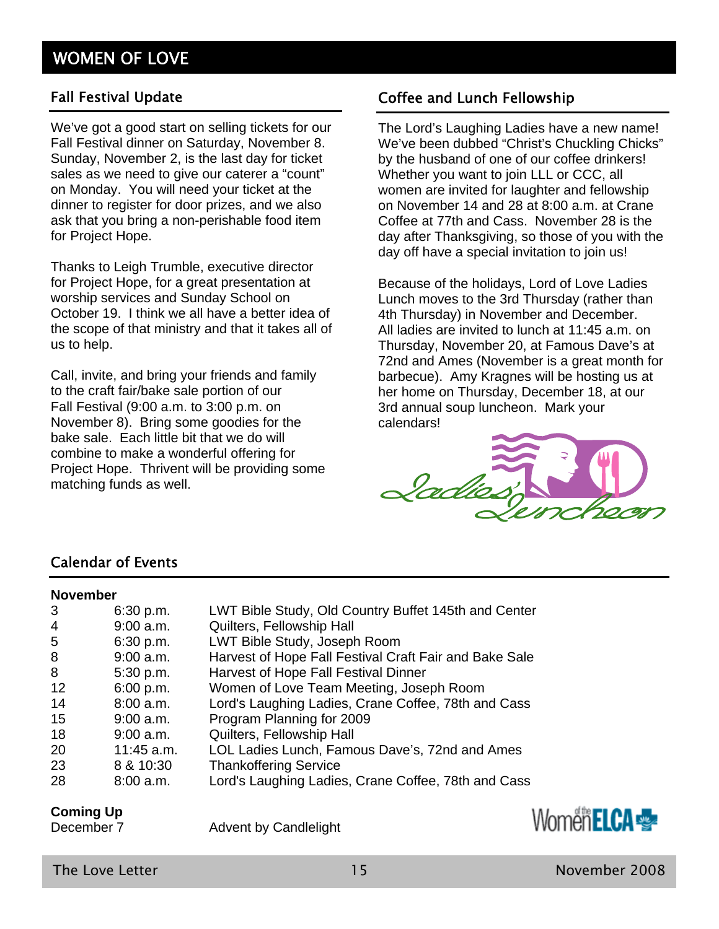#### Fall Festival Update

We've got a good start on selling tickets for our Fall Festival dinner on Saturday, November 8. Sunday, November 2, is the last day for ticket sales as we need to give our caterer a "count" on Monday. You will need your ticket at the dinner to register for door prizes, and we also ask that you bring a non-perishable food item for Project Hope.

Thanks to Leigh Trumble, executive director for Project Hope, for a great presentation at worship services and Sunday School on October 19. I think we all have a better idea of the scope of that ministry and that it takes all of us to help.

Call, invite, and bring your friends and family to the craft fair/bake sale portion of our Fall Festival (9:00 a.m. to 3:00 p.m. on November 8). Bring some goodies for the bake sale. Each little bit that we do will combine to make a wonderful offering for Project Hope. Thrivent will be providing some matching funds as well.

#### Coffee and Lunch Fellowship

The Lord's Laughing Ladies have a new name! We've been dubbed "Christ's Chuckling Chicks" by the husband of one of our coffee drinkers! Whether you want to join LLL or CCC, all women are invited for laughter and fellowship on November 14 and 28 at 8:00 a.m. at Crane Coffee at 77th and Cass. November 28 is the day after Thanksgiving, so those of you with the day off have a special invitation to join us!

Because of the holidays, Lord of Love Ladies Lunch moves to the 3rd Thursday (rather than 4th Thursday) in November and December. All ladies are invited to lunch at 11:45 a.m. on Thursday, November 20, at Famous Dave's at 72nd and Ames (November is a great month for barbecue). Amy Kragnes will be hosting us at her home on Thursday, December 18, at our 3rd annual soup luncheon. Mark your calendars!



#### Calendar of Events

#### **November**

| 3   | 6:30 p.m.    | LWT Bible Study, Old Country Buffet 145th and Center   |
|-----|--------------|--------------------------------------------------------|
| 4   | $9:00$ a.m.  | Quilters, Fellowship Hall                              |
| 5   | 6:30 p.m.    | LWT Bible Study, Joseph Room                           |
| 8   | $9:00$ a.m.  | Harvest of Hope Fall Festival Craft Fair and Bake Sale |
| 8   | 5:30 p.m.    | Harvest of Hope Fall Festival Dinner                   |
| 12  | 6:00 p.m.    | Women of Love Team Meeting, Joseph Room                |
| 14  | 8:00 a.m.    | Lord's Laughing Ladies, Crane Coffee, 78th and Cass    |
| 15  | $9:00$ a.m.  | Program Planning for 2009                              |
| 18  | $9:00$ a.m.  | Quilters, Fellowship Hall                              |
| -20 | $11:45$ a.m. | LOL Ladies Lunch, Famous Dave's, 72nd and Ames         |
| 23  | 8 & 10:30    | <b>Thankoffering Service</b>                           |
| 28  | $8:00$ a.m.  | Lord's Laughing Ladies, Crane Coffee, 78th and Cass    |
|     |              |                                                        |

#### **Coming Up**

December 7 Advent by Candlelight

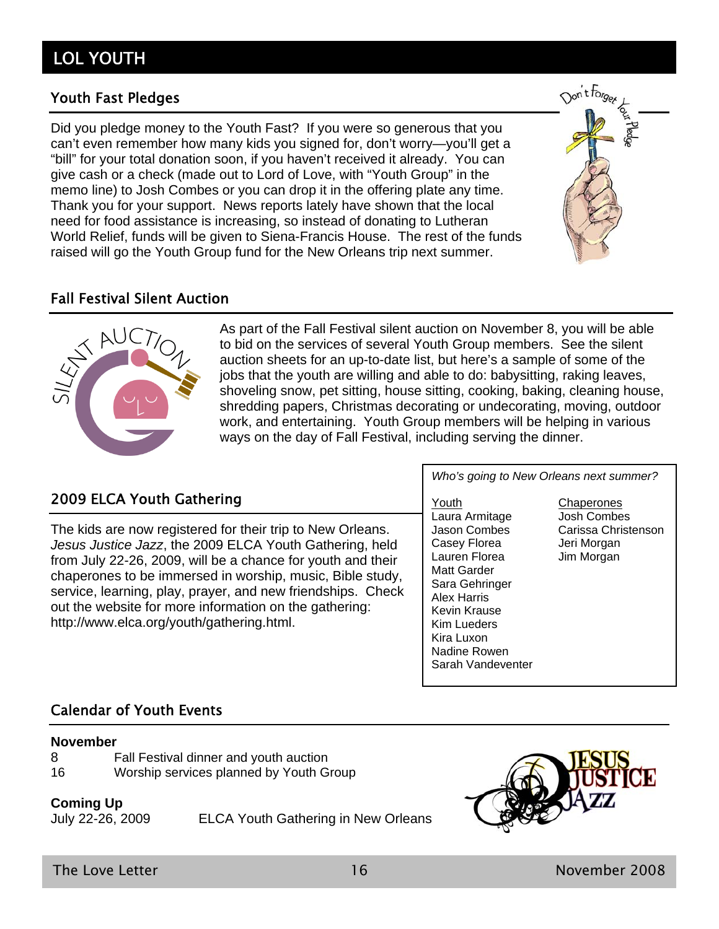### Youth Fast Pledges

Did you pledge money to the Youth Fast? If you were so generous that you can't even remember how many kids you signed for, don't worry—you'll get a "bill" for your total donation soon, if you haven't received it already. You can give cash or a check (made out to Lord of Love, with "Youth Group" in the memo line) to Josh Combes or you can drop it in the offering plate any time. Thank you for your support. News reports lately have shown that the local need for food assistance is increasing, so instead of donating to Lutheran World Relief, funds will be given to Siena-Francis House. The rest of the funds raised will go the Youth Group fund for the New Orleans trip next summer.





As part of the Fall Festival silent auction on November 8, you will be able to bid on the services of several Youth Group members. See the silent auction sheets for an up-to-date list, but here's a sample of some of the jobs that the youth are willing and able to do: babysitting, raking leaves, shoveling snow, pet sitting, house sitting, cooking, baking, cleaning house, shredding papers, Christmas decorating or undecorating, moving, outdoor work, and entertaining. Youth Group members will be helping in various ways on the day of Fall Festival, including serving the dinner.

### 2009 ELCA Youth Gathering

The kids are now registered for their trip to New Orleans. *Jesus Justice Jazz*, the 2009 ELCA Youth Gathering, held from July 22-26, 2009, will be a chance for youth and their chaperones to be immersed in worship, music, Bible study, service, learning, play, prayer, and new friendships. Check out the website for more information on the gathering: http://www.elca.org/youth/gathering.html.

*Who's going to New Orleans next summer?* 

Youth Chaperones Laura Armitage Josh Combes Casey Florea Jeri Morgan Lauren Florea Jim Morgan Matt Garder Sara Gehringer Alex Harris Kevin Krause Kim Lueders Kira Luxon Nadine Rowen Sarah Vandeventer

Jason Combes Carissa Christenson

#### Calendar of Youth Events

#### **November**

- 8 Fall Festival dinner and youth auction
- 16 Worship services planned by Youth Group

#### **Coming Up**

July 22-26, 2009 ELCA Youth Gathering in New Orleans

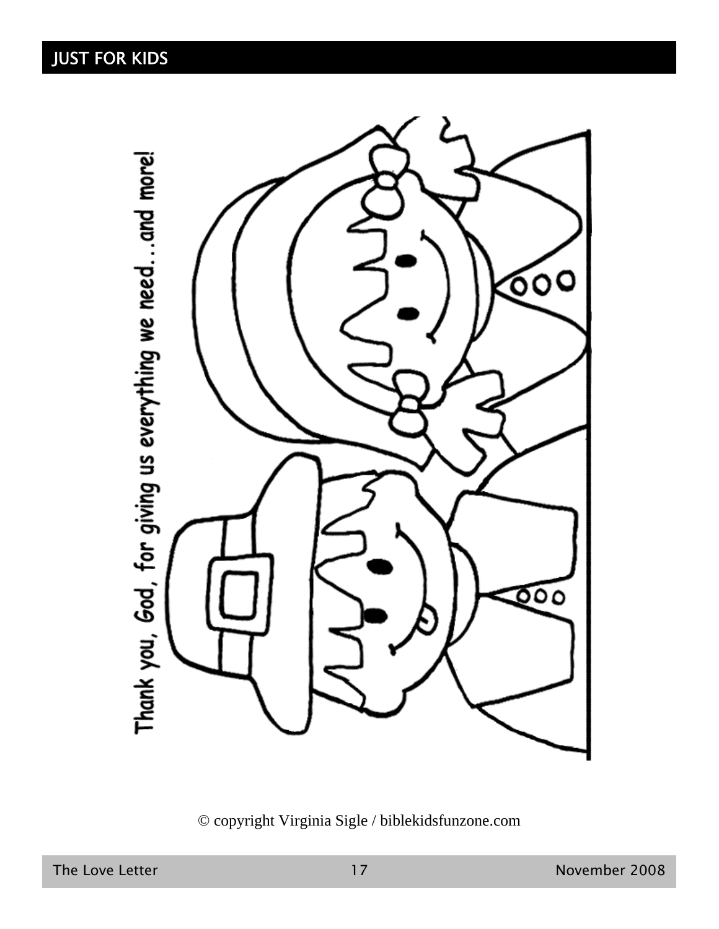Thank you, God, for giving us everything we need...and more!



© copyright Virginia Sigle / biblekidsfunzone.com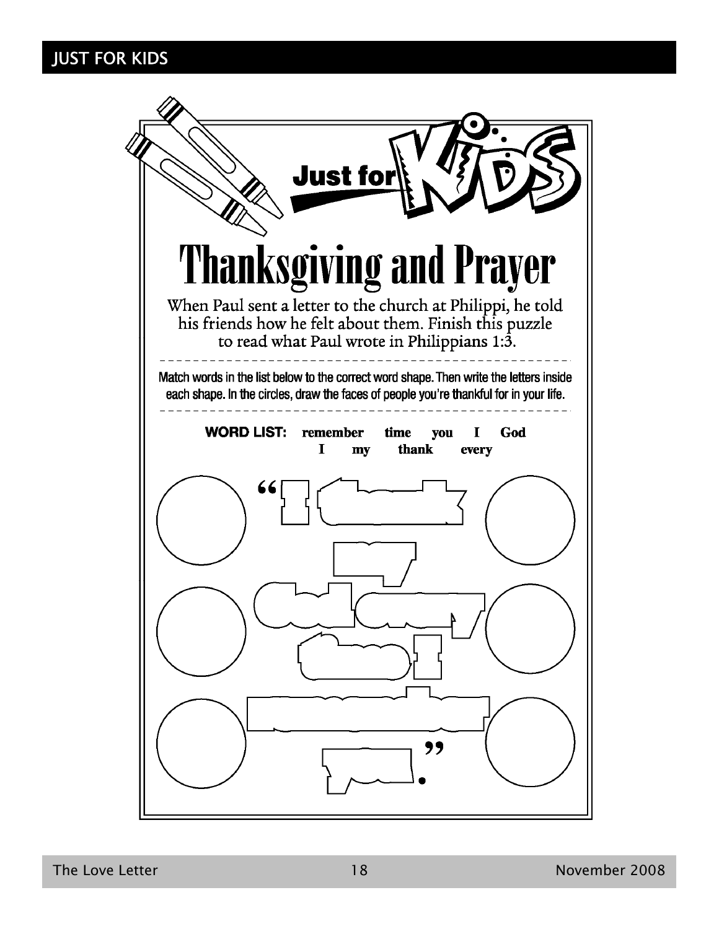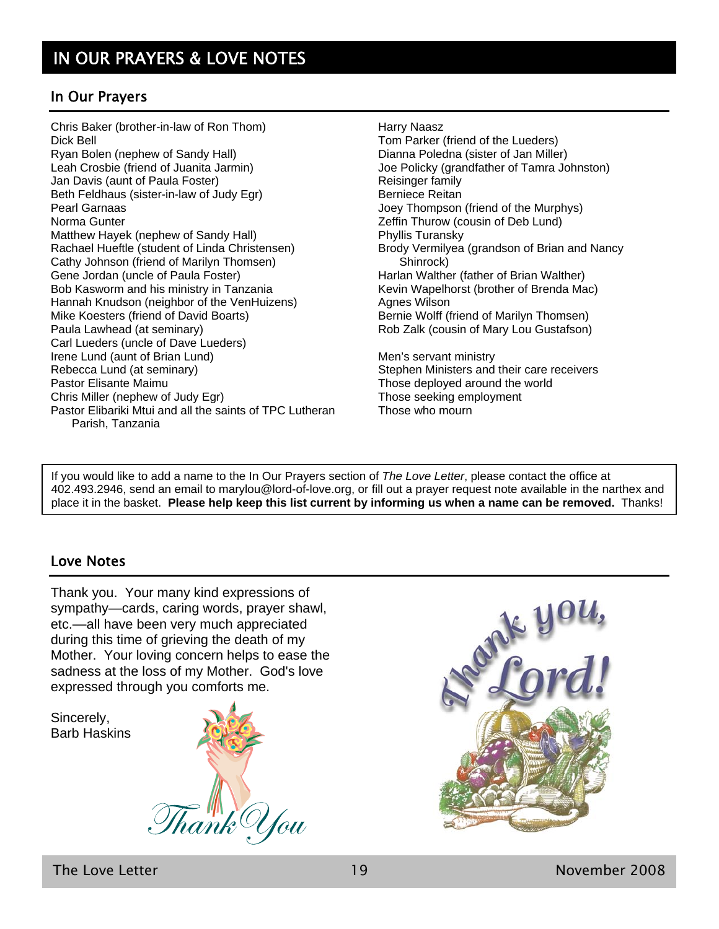#### In Our Prayers

Chris Baker (brother-in-law of Ron Thom) Dick Bell Ryan Bolen (nephew of Sandy Hall) Leah Crosbie (friend of Juanita Jarmin) Jan Davis (aunt of Paula Foster) Beth Feldhaus (sister-in-law of Judy Egr) Pearl Garnaas Norma Gunter Matthew Hayek (nephew of Sandy Hall) Rachael Hueftle (student of Linda Christensen) Cathy Johnson (friend of Marilyn Thomsen) Gene Jordan (uncle of Paula Foster) Bob Kasworm and his ministry in Tanzania Hannah Knudson (neighbor of the VenHuizens) Mike Koesters (friend of David Boarts) Paula Lawhead (at seminary) Carl Lueders (uncle of Dave Lueders) Irene Lund (aunt of Brian Lund) Rebecca Lund (at seminary) Pastor Elisante Maimu Chris Miller (nephew of Judy Egr) Pastor Elibariki Mtui and all the saints of TPC Lutheran Parish, Tanzania

Harry Naasz Tom Parker (friend of the Lueders) Dianna Poledna (sister of Jan Miller) Joe Policky (grandfather of Tamra Johnston) Reisinger family Berniece Reitan Joey Thompson (friend of the Murphys) Zeffin Thurow (cousin of Deb Lund) Phyllis Turansky Brody Vermilyea (grandson of Brian and Nancy Shinrock) Harlan Walther (father of Brian Walther) Kevin Wapelhorst (brother of Brenda Mac) Agnes Wilson Bernie Wolff (friend of Marilyn Thomsen) Rob Zalk (cousin of Mary Lou Gustafson) Men's servant ministry Stephen Ministers and their care receivers Those deployed around the world

Those seeking employment

Those who mourn

If you would like to add a name to the In Our Prayers section of *The Love Letter*, please contact the office at 402.493.2946, send an email to marylou@lord-of-love.org, or fill out a prayer request note available in the narthex and place it in the basket. **Please help keep this list current by informing us when a name can be removed.** Thanks!

#### Love Notes

Thank you. Your many kind expressions of sympathy—cards, caring words, prayer shawl, etc.—all have been very much appreciated during this time of grieving the death of my Mother. Your loving concern helps to ease the sadness at the loss of my Mother. God's love expressed through you comforts me.

Sincerely, Barb Haskins